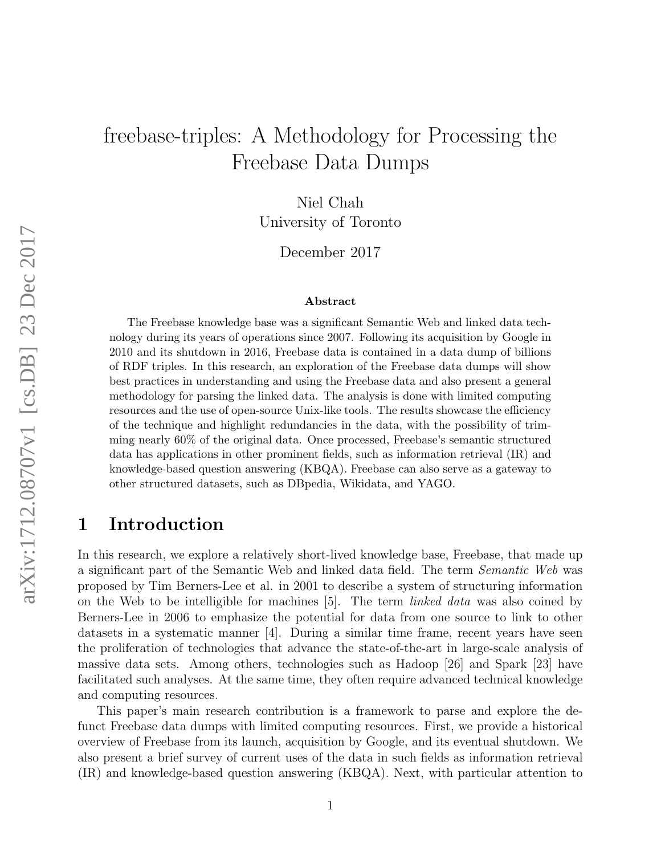# freebase-triples: A Methodology for Processing the Freebase Data Dumps

Niel Chah University of Toronto

December 2017

#### Abstract

The Freebase knowledge base was a significant Semantic Web and linked data technology during its years of operations since 2007. Following its acquisition by Google in 2010 and its shutdown in 2016, Freebase data is contained in a data dump of billions of RDF triples. In this research, an exploration of the Freebase data dumps will show best practices in understanding and using the Freebase data and also present a general methodology for parsing the linked data. The analysis is done with limited computing resources and the use of open-source Unix-like tools. The results showcase the efficiency of the technique and highlight redundancies in the data, with the possibility of trimming nearly 60% of the original data. Once processed, Freebase's semantic structured data has applications in other prominent fields, such as information retrieval (IR) and knowledge-based question answering (KBQA). Freebase can also serve as a gateway to other structured datasets, such as DBpedia, Wikidata, and YAGO.

### 1 Introduction

In this research, we explore a relatively short-lived knowledge base, Freebase, that made up a significant part of the Semantic Web and linked data field. The term Semantic Web was proposed by Tim Berners-Lee et al. in 2001 to describe a system of structuring information on the Web to be intelligible for machines [5]. The term linked data was also coined by Berners-Lee in 2006 to emphasize the potential for data from one source to link to other datasets in a systematic manner [4]. During a similar time frame, recent years have seen the proliferation of technologies that advance the state-of-the-art in large-scale analysis of massive data sets. Among others, technologies such as Hadoop [26] and Spark [23] have facilitated such analyses. At the same time, they often require advanced technical knowledge and computing resources.

This paper's main research contribution is a framework to parse and explore the defunct Freebase data dumps with limited computing resources. First, we provide a historical overview of Freebase from its launch, acquisition by Google, and its eventual shutdown. We also present a brief survey of current uses of the data in such fields as information retrieval (IR) and knowledge-based question answering (KBQA). Next, with particular attention to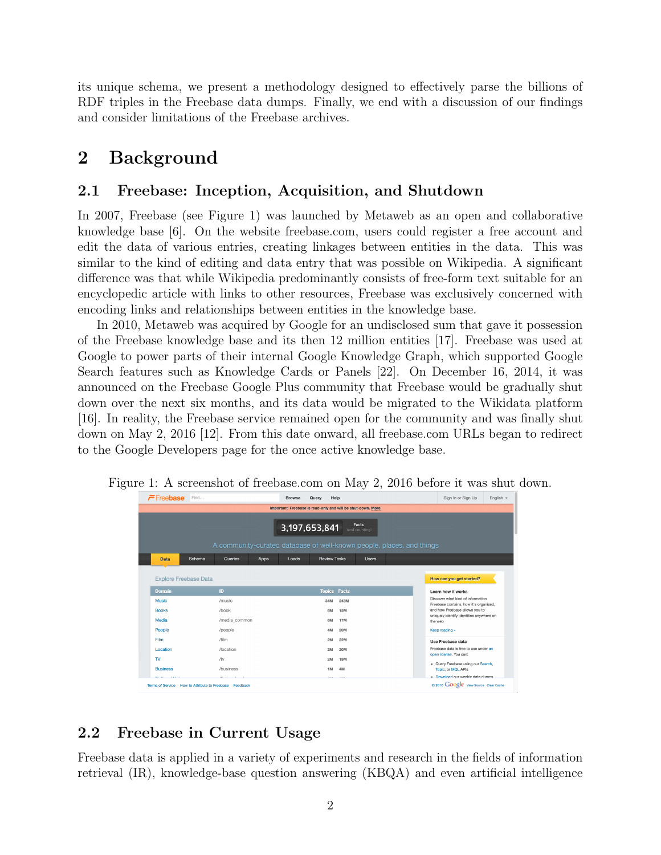its unique schema, we present a methodology designed to effectively parse the billions of RDF triples in the Freebase data dumps. Finally, we end with a discussion of our findings and consider limitations of the Freebase archives.

### 2 Background

#### 2.1 Freebase: Inception, Acquisition, and Shutdown

In 2007, Freebase (see Figure 1) was launched by Metaweb as an open and collaborative knowledge base [6]. On the website freebase.com, users could register a free account and edit the data of various entries, creating linkages between entities in the data. This was similar to the kind of editing and data entry that was possible on Wikipedia. A significant difference was that while Wikipedia predominantly consists of free-form text suitable for an encyclopedic article with links to other resources, Freebase was exclusively concerned with encoding links and relationships between entities in the knowledge base.

In 2010, Metaweb was acquired by Google for an undisclosed sum that gave it possession of the Freebase knowledge base and its then 12 million entities [17]. Freebase was used at Google to power parts of their internal Google Knowledge Graph, which supported Google Search features such as Knowledge Cards or Panels [22]. On December 16, 2014, it was announced on the Freebase Google Plus community that Freebase would be gradually shut down over the next six months, and its data would be migrated to the Wikidata platform [16]. In reality, the Freebase service remained open for the community and was finally shut down on May 2, 2016 [12]. From this date onward, all freebase.com URLs began to redirect to the Google Developers page for the once active knowledge base.

| Freebase Find                            |                           | <b>Browse</b><br>Query                                                | Help         |  | Sign In or Sign Up                                                       | English $\sim$ |  |
|------------------------------------------|---------------------------|-----------------------------------------------------------------------|--------------|--|--------------------------------------------------------------------------|----------------|--|
|                                          |                           | Important! Freebase is read-only and will be shut-down. More.         |              |  |                                                                          |                |  |
| Facts<br>3,197,653,841<br>(and counting) |                           |                                                                       |              |  |                                                                          |                |  |
|                                          |                           | A community-curated database of well-known people, places, and things |              |  |                                                                          |                |  |
| <b>Data</b>                              | Schema<br>Queries<br>Apps | <b>Review Tasks</b><br>Loads                                          | <b>Users</b> |  |                                                                          |                |  |
|                                          |                           |                                                                       |              |  |                                                                          |                |  |
| <b>Explore Freebase Data</b>             |                           |                                                                       |              |  | How can you get started?                                                 |                |  |
|                                          |                           |                                                                       |              |  |                                                                          |                |  |
| Domain                                   | ID                        | <b>Topics</b>                                                         | Facts        |  | Learn how it works                                                       |                |  |
| <b>Music</b>                             | /music                    | 34M                                                                   | 243M         |  | Discover what kind of information                                        |                |  |
| <b>Books</b>                             | /book                     | 6M                                                                    | <b>15M</b>   |  | Freebase contains, how it's organized.<br>and how Freebase allows you to |                |  |
| Media                                    | /media_common             | 6M                                                                    | <b>17M</b>   |  | uniquely identify identities anywhere on<br>the web                      |                |  |
| People                                   | /people                   | 4M                                                                    | <b>20M</b>   |  | Keep reading »                                                           |                |  |
| Film                                     | /film                     | 2M                                                                    | 22M          |  | Use Freebase data                                                        |                |  |
| Location                                 | /location                 | 2M                                                                    | <b>20M</b>   |  | Freebase data is free to use under an                                    |                |  |
| TV.                                      | /tv                       | 2M                                                                    | <b>19M</b>   |  | open license. You can:                                                   |                |  |
| <b>Business</b>                          | /business                 | 1M                                                                    | 4M           |  | · Query Freebase using our Search,<br>Topic, or MQL APIs                 |                |  |

Figure 1: A screenshot of freebase.com on May 2, 2016 before it was shut down.

### 2.2 Freebase in Current Usage

Freebase data is applied in a variety of experiments and research in the fields of information retrieval (IR), knowledge-base question answering (KBQA) and even artificial intelligence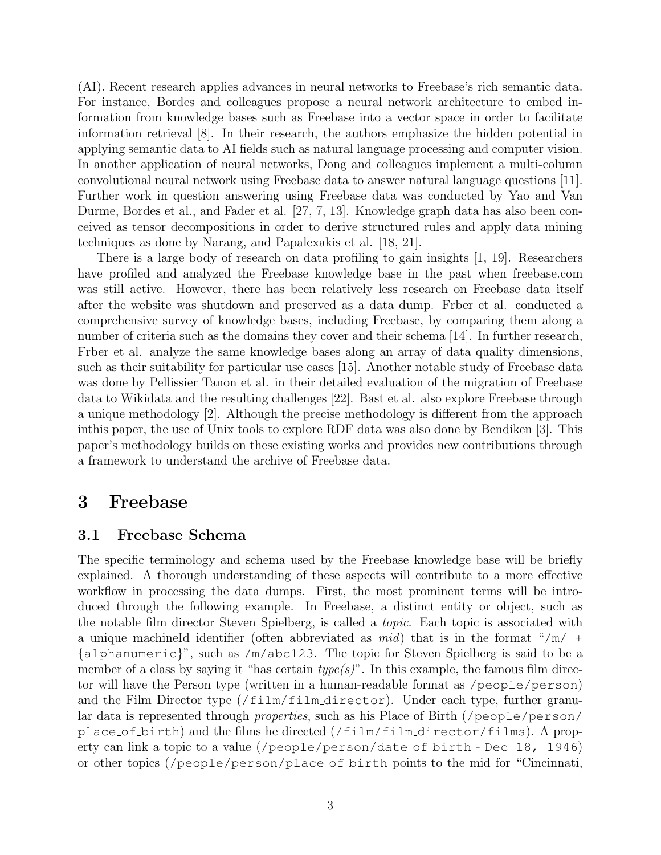(AI). Recent research applies advances in neural networks to Freebase's rich semantic data. For instance, Bordes and colleagues propose a neural network architecture to embed information from knowledge bases such as Freebase into a vector space in order to facilitate information retrieval [8]. In their research, the authors emphasize the hidden potential in applying semantic data to AI fields such as natural language processing and computer vision. In another application of neural networks, Dong and colleagues implement a multi-column convolutional neural network using Freebase data to answer natural language questions [11]. Further work in question answering using Freebase data was conducted by Yao and Van Durme, Bordes et al., and Fader et al. [27, 7, 13]. Knowledge graph data has also been conceived as tensor decompositions in order to derive structured rules and apply data mining techniques as done by Narang, and Papalexakis et al. [18, 21].

There is a large body of research on data profiling to gain insights [1, 19]. Researchers have profiled and analyzed the Freebase knowledge base in the past when freebase.com was still active. However, there has been relatively less research on Freebase data itself after the website was shutdown and preserved as a data dump. Frber et al. conducted a comprehensive survey of knowledge bases, including Freebase, by comparing them along a number of criteria such as the domains they cover and their schema [14]. In further research, Frber et al. analyze the same knowledge bases along an array of data quality dimensions, such as their suitability for particular use cases [15]. Another notable study of Freebase data was done by Pellissier Tanon et al. in their detailed evaluation of the migration of Freebase data to Wikidata and the resulting challenges [22]. Bast et al. also explore Freebase through a unique methodology [2]. Although the precise methodology is different from the approach inthis paper, the use of Unix tools to explore RDF data was also done by Bendiken [3]. This paper's methodology builds on these existing works and provides new contributions through a framework to understand the archive of Freebase data.

### 3 Freebase

#### 3.1 Freebase Schema

The specific terminology and schema used by the Freebase knowledge base will be briefly explained. A thorough understanding of these aspects will contribute to a more effective workflow in processing the data dumps. First, the most prominent terms will be introduced through the following example. In Freebase, a distinct entity or object, such as the notable film director Steven Spielberg, is called a topic. Each topic is associated with a unique machineId identifier (often abbreviated as  $mid$ ) that is in the format "/m/ + {alphanumeric}", such as /m/abc123. The topic for Steven Spielberg is said to be a member of a class by saying it "has certain  $type(s)$ ". In this example, the famous film director will have the Person type (written in a human-readable format as /people/person) and the Film Director type  $//film/film\_directory)$ . Under each type, further granular data is represented through *properties*, such as his Place of Birth (/people/person/ place of birth) and the films he directed (/film/film director/films). A property can link a topic to a value (/people/person/date of birth - Dec 18, 1946) or other topics (/people/person/place of birth points to the mid for "Cincinnati,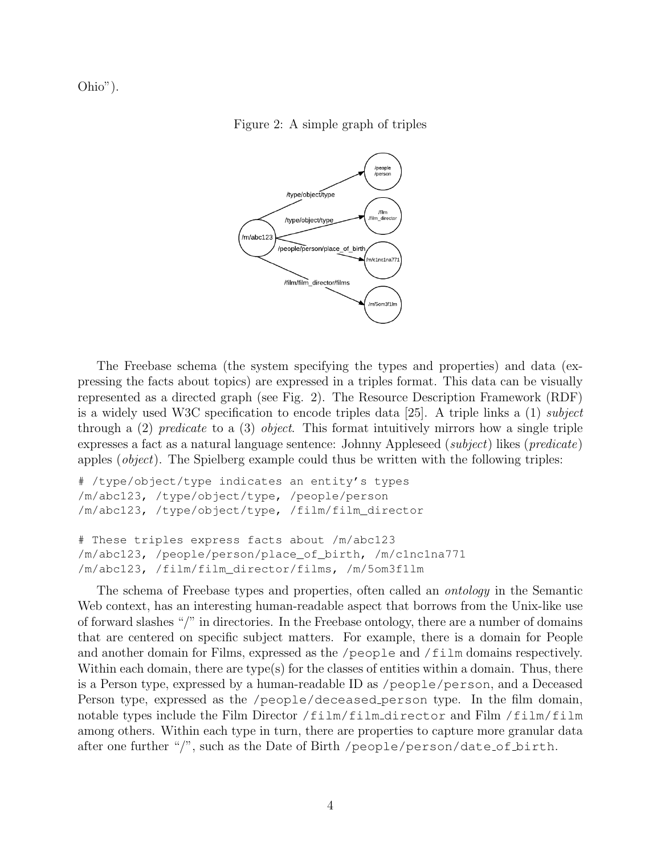Ohio").

Figure 2: A simple graph of triples



The Freebase schema (the system specifying the types and properties) and data (expressing the facts about topics) are expressed in a triples format. This data can be visually represented as a directed graph (see Fig. 2). The Resource Description Framework (RDF) is a widely used W3C specification to encode triples data [25]. A triple links a (1) subject through a  $(2)$  predicate to a  $(3)$  object. This format intuitively mirrors how a single triple expresses a fact as a natural language sentence: Johnny Appleseed (subject) likes (predicate) apples (object). The Spielberg example could thus be written with the following triples:

```
# /type/object/type indicates an entity's types
/m/abc123, /type/object/type, /people/person
/m/abc123, /type/object/type, /film/film_director
# These triples express facts about /m/abc123
/m/abc123, /people/person/place_of_birth, /m/c1nc1na771
/m/abc123, /film/film_director/films, /m/5om3f1lm
```
The schema of Freebase types and properties, often called an ontology in the Semantic Web context, has an interesting human-readable aspect that borrows from the Unix-like use of forward slashes "/" in directories. In the Freebase ontology, there are a number of domains that are centered on specific subject matters. For example, there is a domain for People and another domain for Films, expressed as the /people and /film domains respectively. Within each domain, there are type(s) for the classes of entities within a domain. Thus, there is a Person type, expressed by a human-readable ID as /people/person, and a Deceased Person type, expressed as the /people/deceased person type. In the film domain, notable types include the Film Director /film/film director and Film /film/film among others. Within each type in turn, there are properties to capture more granular data after one further "/", such as the Date of Birth /people/person/date of birth.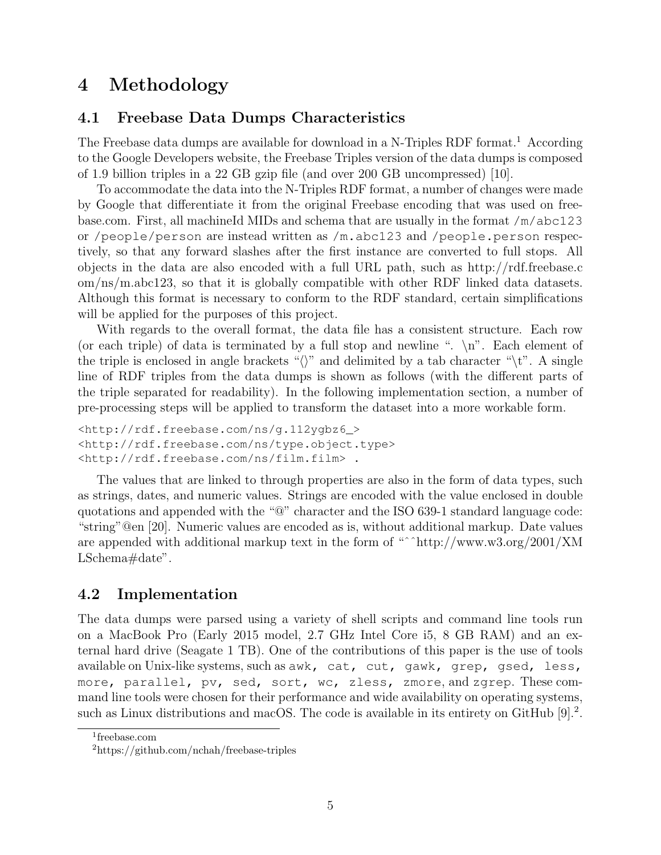## 4 Methodology

### 4.1 Freebase Data Dumps Characteristics

The Freebase data dumps are available for download in a N-Triples RDF format.<sup>1</sup> According to the Google Developers website, the Freebase Triples version of the data dumps is composed of 1.9 billion triples in a 22 GB gzip file (and over 200 GB uncompressed) [10].

To accommodate the data into the N-Triples RDF format, a number of changes were made by Google that differentiate it from the original Freebase encoding that was used on freebase.com. First, all machineId MIDs and schema that are usually in the format /m/abc123 or /people/person are instead written as /m.abc123 and /people.person respectively, so that any forward slashes after the first instance are converted to full stops. All objects in the data are also encoded with a full URL path, such as http://rdf.freebase.c om/ns/m.abc123, so that it is globally compatible with other RDF linked data datasets. Although this format is necessary to conform to the RDF standard, certain simplifications will be applied for the purposes of this project.

With regards to the overall format, the data file has a consistent structure. Each row (or each triple) of data is terminated by a full stop and newline ".  $\n\lambda$ ". Each element of the triple is enclosed in angle brackets " $\langle \rangle$ " and delimited by a tab character " $\setminus t$ ". A single line of RDF triples from the data dumps is shown as follows (with the different parts of the triple separated for readability). In the following implementation section, a number of pre-processing steps will be applied to transform the dataset into a more workable form.

```
<http://rdf.freebase.com/ns/g.112ygbz6_>
<http://rdf.freebase.com/ns/type.object.type>
<http://rdf.freebase.com/ns/film.film> .
```
The values that are linked to through properties are also in the form of data types, such as strings, dates, and numeric values. Strings are encoded with the value enclosed in double quotations and appended with the "@" character and the ISO 639-1 standard language code: "string"@en [20]. Numeric values are encoded as is, without additional markup. Date values are appended with additional markup text in the form of "ˆˆhttp://www.w3.org/2001/XM LSchema#date".

### 4.2 Implementation

The data dumps were parsed using a variety of shell scripts and command line tools run on a MacBook Pro (Early 2015 model, 2.7 GHz Intel Core i5, 8 GB RAM) and an external hard drive (Seagate 1 TB). One of the contributions of this paper is the use of tools available on Unix-like systems, such as awk, cat, cut, gawk, grep, gsed, less, more, parallel, pv, sed, sort, wc, zless, zmore, and zgrep. These command line tools were chosen for their performance and wide availability on operating systems, such as Linux distributions and macOS. The code is available in its entirety on GitHub [9].<sup>2</sup>.

<sup>1</sup> freebase.com

<sup>2</sup>https://github.com/nchah/freebase-triples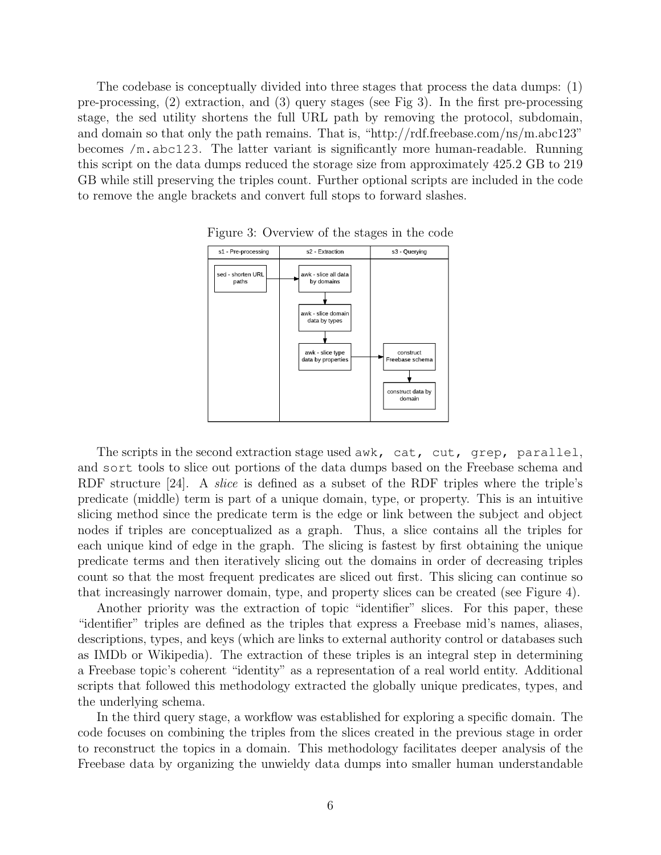The codebase is conceptually divided into three stages that process the data dumps: (1) pre-processing, (2) extraction, and (3) query stages (see Fig 3). In the first pre-processing stage, the sed utility shortens the full URL path by removing the protocol, subdomain, and domain so that only the path remains. That is, "http://rdf.freebase.com/ns/m.abc123" becomes /m.abc123. The latter variant is significantly more human-readable. Running this script on the data dumps reduced the storage size from approximately 425.2 GB to 219 GB while still preserving the triples count. Further optional scripts are included in the code to remove the angle brackets and convert full stops to forward slashes.



Figure 3: Overview of the stages in the code

The scripts in the second extraction stage used awk, cat, cut, grep, parallel, and sort tools to slice out portions of the data dumps based on the Freebase schema and RDF structure [24]. A *slice* is defined as a subset of the RDF triples where the triple's predicate (middle) term is part of a unique domain, type, or property. This is an intuitive slicing method since the predicate term is the edge or link between the subject and object nodes if triples are conceptualized as a graph. Thus, a slice contains all the triples for each unique kind of edge in the graph. The slicing is fastest by first obtaining the unique predicate terms and then iteratively slicing out the domains in order of decreasing triples count so that the most frequent predicates are sliced out first. This slicing can continue so that increasingly narrower domain, type, and property slices can be created (see Figure 4).

Another priority was the extraction of topic "identifier" slices. For this paper, these "identifier" triples are defined as the triples that express a Freebase mid's names, aliases, descriptions, types, and keys (which are links to external authority control or databases such as IMDb or Wikipedia). The extraction of these triples is an integral step in determining a Freebase topic's coherent "identity" as a representation of a real world entity. Additional scripts that followed this methodology extracted the globally unique predicates, types, and the underlying schema.

In the third query stage, a workflow was established for exploring a specific domain. The code focuses on combining the triples from the slices created in the previous stage in order to reconstruct the topics in a domain. This methodology facilitates deeper analysis of the Freebase data by organizing the unwieldy data dumps into smaller human understandable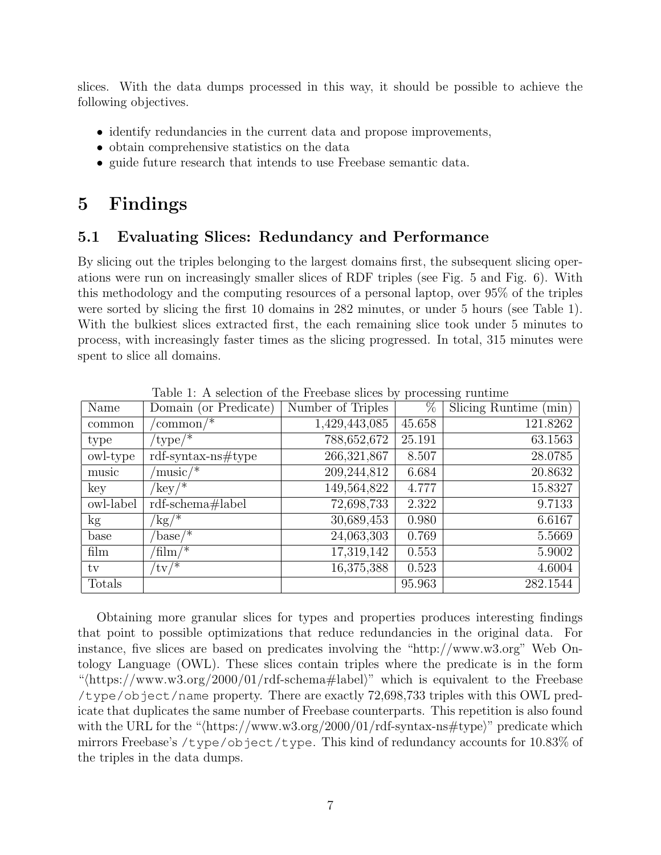slices. With the data dumps processed in this way, it should be possible to achieve the following objectives.

- identify redundancies in the current data and propose improvements,
- obtain comprehensive statistics on the data
- guide future research that intends to use Freebase semantic data.

### 5 Findings

### 5.1 Evaluating Slices: Redundancy and Performance

By slicing out the triples belonging to the largest domains first, the subsequent slicing operations were run on increasingly smaller slices of RDF triples (see Fig. 5 and Fig. 6). With this methodology and the computing resources of a personal laptop, over 95% of the triples were sorted by slicing the first 10 domains in 282 minutes, or under 5 hours (see Table 1). With the bulkiest slices extracted first, the each remaining slice took under 5 minutes to process, with increasingly faster times as the slicing progressed. In total, 315 minutes were spent to slice all domains.

| Name          | Domain (or Predicate)       | Number of Triples | %      | Slicing Runtime $(\min)$ |
|---------------|-----------------------------|-------------------|--------|--------------------------|
| common        | $\mathrm{common}/^*$        | 1,429,443,085     | 45.658 | 121.8262                 |
| type          | $'$ type $/$ *              | 788,652,672       | 25.191 | 63.1563                  |
| owl-type      | $\text{rdf-syntax-ns#type}$ | 266,321,867       | 8.507  | 28.0785                  |
| music         | ${\rm music}/*$             | 209,244,812       | 6.684  | 20.8632                  |
| key           | $'$ key/*                   | 149,564,822       | 4.777  | 15.8327                  |
| owl-label     | rdf-schema#label            | 72,698,733        | 2.322  | 9.7133                   |
| $\mathrm{kg}$ | $\mathrm{kg}/\mathrm{^*}$   | 30,689,453        | 0.980  | 6.6167                   |
| base          | $\text{base}$ /*            | 24,063,303        | 0.769  | 5.5669                   |
| film          | $\dim/\ell^*$               | 17,319,142        | 0.553  | 5.9002                   |
| tv            | $'tv/*$                     | 16,375,388        | 0.523  | 4.6004                   |
| Totals        |                             |                   | 95.963 | 282.1544                 |

Table 1: A selection of the Freebase slices by processing runtime

Obtaining more granular slices for types and properties produces interesting findings that point to possible optimizations that reduce redundancies in the original data. For instance, five slices are based on predicates involving the "http://www.w3.org" Web Ontology Language (OWL). These slices contain triples where the predicate is in the form " $\langle \text{https://www.w3.org/2000/01/rdf-schema#label}\rangle$ " which is equivalent to the Freebase /type/object/name property. There are exactly 72,698,733 triples with this OWL predicate that duplicates the same number of Freebase counterparts. This repetition is also found with the URL for the " $\langle$ https://www.w3.org/2000/01/rdf-syntax-ns#type $\rangle$ " predicate which mirrors Freebase's /type/object/type. This kind of redundancy accounts for 10.83% of the triples in the data dumps.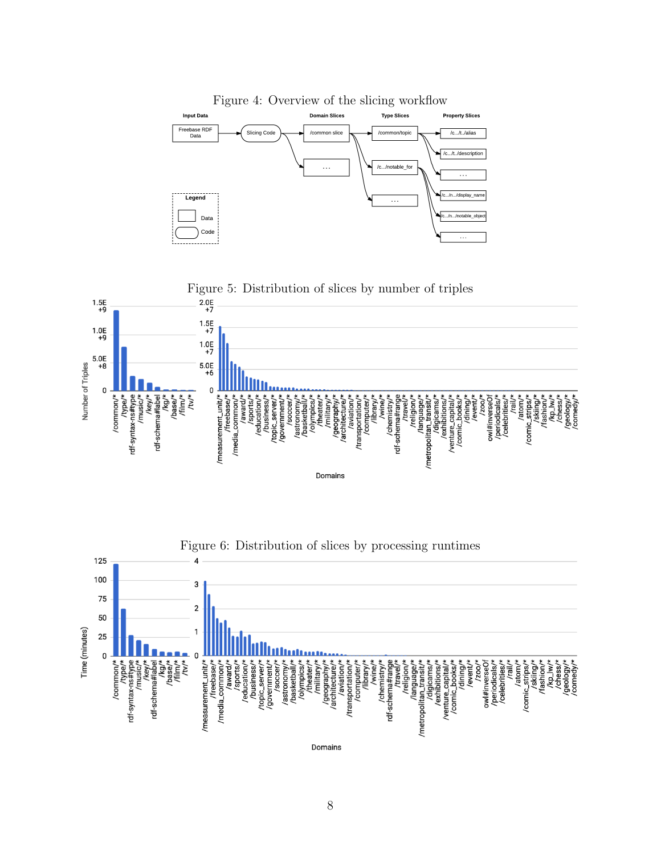



8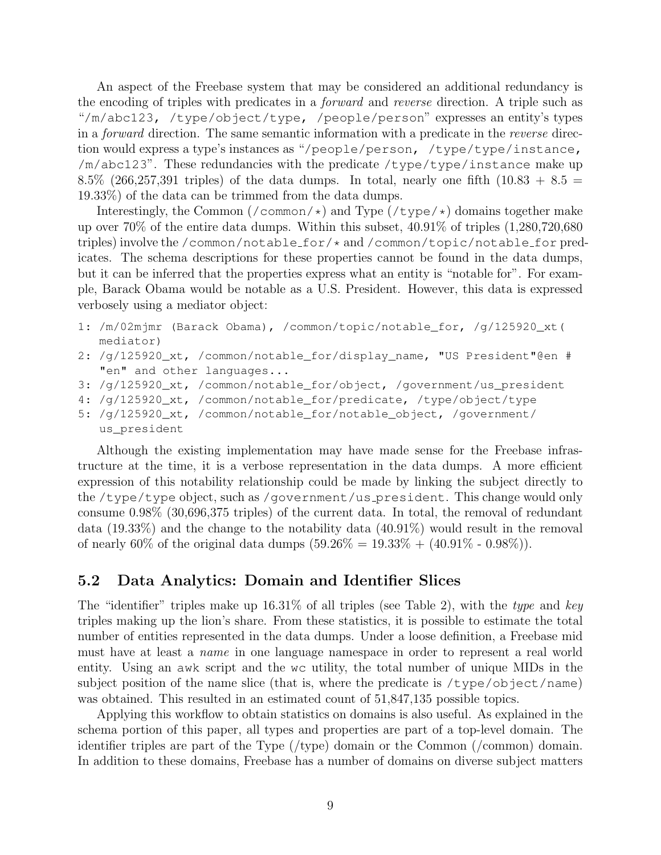An aspect of the Freebase system that may be considered an additional redundancy is the encoding of triples with predicates in a forward and reverse direction. A triple such as "/m/abc123, /type/object/type, /people/person" expresses an entity's types in a forward direction. The same semantic information with a predicate in the reverse direction would express a type's instances as "/people/person, /type/type/instance, /m/abc123". These redundancies with the predicate /type/type/instance make up 8.5% (266,257,391 triples) of the data dumps. In total, nearly one fifth (10.83 + 8.5 = 19.33%) of the data can be trimmed from the data dumps.

Interestingly, the Common  $/$  common $/\star$ ) and Type  $/$  type $/\star$ ) domains together make up over 70% of the entire data dumps. Within this subset, 40.91% of triples (1,280,720,680 triples) involve the /common/notable for/\* and /common/topic/notable for predicates. The schema descriptions for these properties cannot be found in the data dumps, but it can be inferred that the properties express what an entity is "notable for". For example, Barack Obama would be notable as a U.S. President. However, this data is expressed verbosely using a mediator object:

```
1: /m/02mjmr (Barack Obama), /common/topic/notable_for, /g/125920_xt(
   mediator)
```
- 2: /g/125920\_xt, /common/notable\_for/display\_name, "US President"@en # "en" and other languages...
- 3: /g/125920\_xt, /common/notable\_for/object, /government/us\_president

```
4: /g/125920_xt, /common/notable_for/predicate, /type/object/type
```
- 5: /g/125920\_xt, /common/notable\_for/notable\_object, /government/
	- us\_president

Although the existing implementation may have made sense for the Freebase infrastructure at the time, it is a verbose representation in the data dumps. A more efficient expression of this notability relationship could be made by linking the subject directly to the /type/type object, such as /government/us president. This change would only consume 0.98% (30,696,375 triples) of the current data. In total, the removal of redundant data (19.33%) and the change to the notability data (40.91%) would result in the removal of nearly 60% of the original data dumps  $(59.26\% = 19.33\% + (40.91\% - 0.98\%))$ .

#### 5.2 Data Analytics: Domain and Identifier Slices

The "identifier" triples make up  $16.31\%$  of all triples (see Table 2), with the type and key triples making up the lion's share. From these statistics, it is possible to estimate the total number of entities represented in the data dumps. Under a loose definition, a Freebase mid must have at least a name in one language namespace in order to represent a real world entity. Using an awk script and the wc utility, the total number of unique MIDs in the subject position of the name slice (that is, where the predicate is  $/\text{type}/\text{object}/\text{name})$ ) was obtained. This resulted in an estimated count of  $51,847,135$  possible topics.

Applying this workflow to obtain statistics on domains is also useful. As explained in the schema portion of this paper, all types and properties are part of a top-level domain. The identifier triples are part of the Type (/type) domain or the Common (/common) domain. In addition to these domains, Freebase has a number of domains on diverse subject matters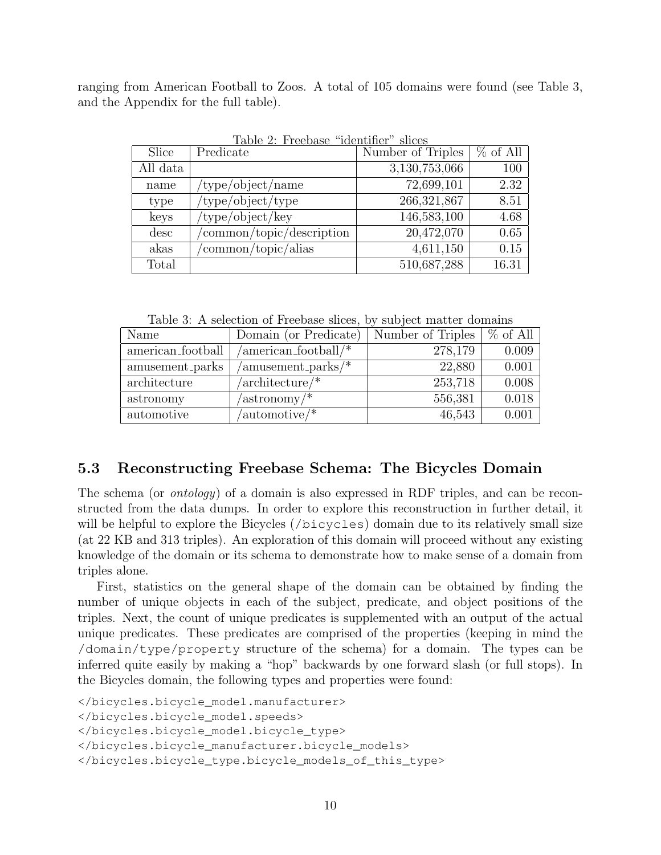ranging from American Football to Zoos. A total of 105 domains were found (see Table 3, and the Appendix for the full table).

|          | TANIC 4, LICCNOSC                              | <b>IGETIOTITEI</b><br>ouvo |            |
|----------|------------------------------------------------|----------------------------|------------|
| Slice    | Predicate                                      | Number of Triples          | $%$ of All |
| All data |                                                | 3,130,753,066              | 100        |
| name     | $\langle$ type $\langle$ object $\rangle$ name | 72,699,101                 | 2.32       |
| type     | $'$ type/object/type                           | 266,321,867                | 8.51       |
| keys     | $/$ type $/$ object $/$ key                    | 146,583,100                | 4.68       |
| desc     | 'common/topic/description                      | 20,472,070                 | 0.65       |
| akas     | common/topic/alias                             | 4,611,150                  | 0.15       |
| Total    |                                                | 510,687,288                | 16.31      |

Table 2: Freebase "identifier" slices

Table 3: A selection of Freebase slices, by subject matter domains

| Name              | Domain (or Predicate)                    | Number of Triples | $%$ of All |
|-------------------|------------------------------------------|-------------------|------------|
| american_football | $/$ american_football $/$ *              | 278,179           | 0.009      |
| amusement_parks   | $\gamma$ amusement_parks $\gamma^*$      | 22,880            | 0.001      |
| architecture      | $/$ architecture $/$ *                   | 253,718           | 0.008      |
| astronomy         | $\alpha$ astronomy /*                    | 556,381           | 0.018      |
| automotive        | $\alpha$ utomotive $\alpha$ <sup>*</sup> | 46,543            | 0.001      |

#### 5.3 Reconstructing Freebase Schema: The Bicycles Domain

The schema (or ontology) of a domain is also expressed in RDF triples, and can be reconstructed from the data dumps. In order to explore this reconstruction in further detail, it will be helpful to explore the Bicycles (/bicycles) domain due to its relatively small size (at 22 KB and 313 triples). An exploration of this domain will proceed without any existing knowledge of the domain or its schema to demonstrate how to make sense of a domain from triples alone.

First, statistics on the general shape of the domain can be obtained by finding the number of unique objects in each of the subject, predicate, and object positions of the triples. Next, the count of unique predicates is supplemented with an output of the actual unique predicates. These predicates are comprised of the properties (keeping in mind the /domain/type/property structure of the schema) for a domain. The types can be inferred quite easily by making a "hop" backwards by one forward slash (or full stops). In the Bicycles domain, the following types and properties were found:

```
</bicycles.bicycle_model.manufacturer>
</bicycles.bicycle_model.speeds>
</bicycles.bicycle_model.bicycle_type>
</bicycles.bicycle_manufacturer.bicycle_models>
</bicycles.bicycle_type.bicycle_models_of_this_type>
```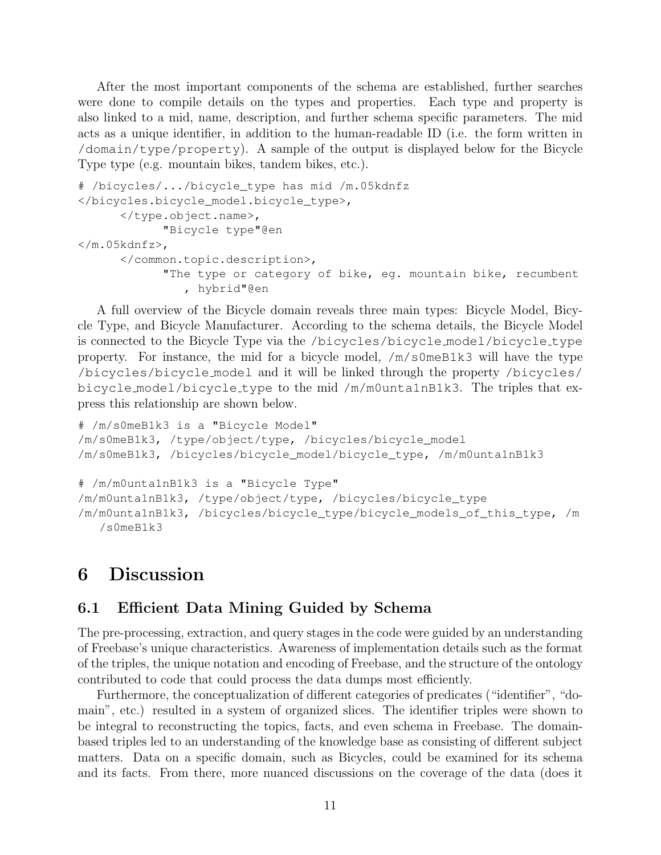After the most important components of the schema are established, further searches were done to compile details on the types and properties. Each type and property is also linked to a mid, name, description, and further schema specific parameters. The mid acts as a unique identifier, in addition to the human-readable ID (i.e. the form written in /domain/type/property). A sample of the output is displayed below for the Bicycle Type type (e.g. mountain bikes, tandem bikes, etc.).

```
# /bicycles/.../bicycle_type has mid /m.05kdnfz
</bicycles.bicycle_model.bicycle_type>,
      </type.object.name>,
            "Bicycle type"@en
</m.05kdnfz>,
      </common.topic.description>,
            "The type or category of bike, eg. mountain bike, recumbent
               , hybrid"@en
```
A full overview of the Bicycle domain reveals three main types: Bicycle Model, Bicycle Type, and Bicycle Manufacturer. According to the schema details, the Bicycle Model is connected to the Bicycle Type via the /bicycles/bicycle model/bicycle type property. For instance, the mid for a bicycle model,  $/m/s$  0meB1k3 will have the type /bicycles/bicycle model and it will be linked through the property /bicycles/ bicycle model/bicycle type to the mid  $/m/m$ 0unta1nB1k3. The triples that express this relationship are shown below.

```
# /m/s0meB1k3 is a "Bicycle Model"
/m/s0meB1k3, /type/object/type, /bicycles/bicycle_model
/m/s0meB1k3, /bicycles/bicycle_model/bicycle_type, /m/m0unta1nB1k3
# /m/m0unta1nB1k3 is a "Bicycle Type"
/m/m0unta1nB1k3, /type/object/type, /bicycles/bicycle_type
/m/m0unta1nB1k3, /bicycles/bicycle_type/bicycle_models_of_this_type, /m
   /s0meB1k3
```
### 6 Discussion

#### 6.1 Efficient Data Mining Guided by Schema

The pre-processing, extraction, and query stages in the code were guided by an understanding of Freebase's unique characteristics. Awareness of implementation details such as the format of the triples, the unique notation and encoding of Freebase, and the structure of the ontology contributed to code that could process the data dumps most efficiently.

Furthermore, the conceptualization of different categories of predicates ("identifier", "domain", etc.) resulted in a system of organized slices. The identifier triples were shown to be integral to reconstructing the topics, facts, and even schema in Freebase. The domainbased triples led to an understanding of the knowledge base as consisting of different subject matters. Data on a specific domain, such as Bicycles, could be examined for its schema and its facts. From there, more nuanced discussions on the coverage of the data (does it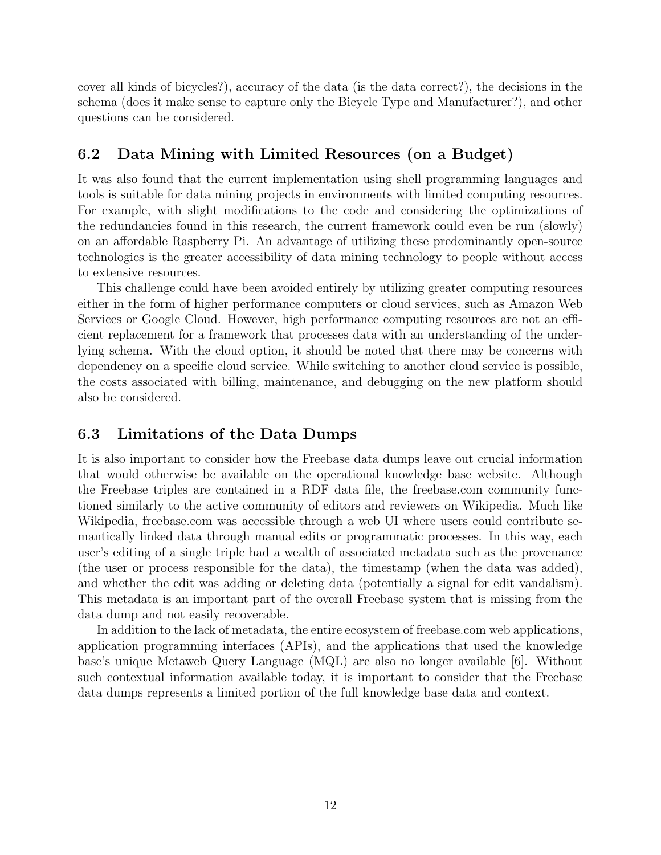cover all kinds of bicycles?), accuracy of the data (is the data correct?), the decisions in the schema (does it make sense to capture only the Bicycle Type and Manufacturer?), and other questions can be considered.

### 6.2 Data Mining with Limited Resources (on a Budget)

It was also found that the current implementation using shell programming languages and tools is suitable for data mining projects in environments with limited computing resources. For example, with slight modifications to the code and considering the optimizations of the redundancies found in this research, the current framework could even be run (slowly) on an affordable Raspberry Pi. An advantage of utilizing these predominantly open-source technologies is the greater accessibility of data mining technology to people without access to extensive resources.

This challenge could have been avoided entirely by utilizing greater computing resources either in the form of higher performance computers or cloud services, such as Amazon Web Services or Google Cloud. However, high performance computing resources are not an efficient replacement for a framework that processes data with an understanding of the underlying schema. With the cloud option, it should be noted that there may be concerns with dependency on a specific cloud service. While switching to another cloud service is possible, the costs associated with billing, maintenance, and debugging on the new platform should also be considered.

### 6.3 Limitations of the Data Dumps

It is also important to consider how the Freebase data dumps leave out crucial information that would otherwise be available on the operational knowledge base website. Although the Freebase triples are contained in a RDF data file, the freebase.com community functioned similarly to the active community of editors and reviewers on Wikipedia. Much like Wikipedia, freebase.com was accessible through a web UI where users could contribute semantically linked data through manual edits or programmatic processes. In this way, each user's editing of a single triple had a wealth of associated metadata such as the provenance (the user or process responsible for the data), the timestamp (when the data was added), and whether the edit was adding or deleting data (potentially a signal for edit vandalism). This metadata is an important part of the overall Freebase system that is missing from the data dump and not easily recoverable.

In addition to the lack of metadata, the entire ecosystem of freebase.com web applications, application programming interfaces (APIs), and the applications that used the knowledge base's unique Metaweb Query Language (MQL) are also no longer available [6]. Without such contextual information available today, it is important to consider that the Freebase data dumps represents a limited portion of the full knowledge base data and context.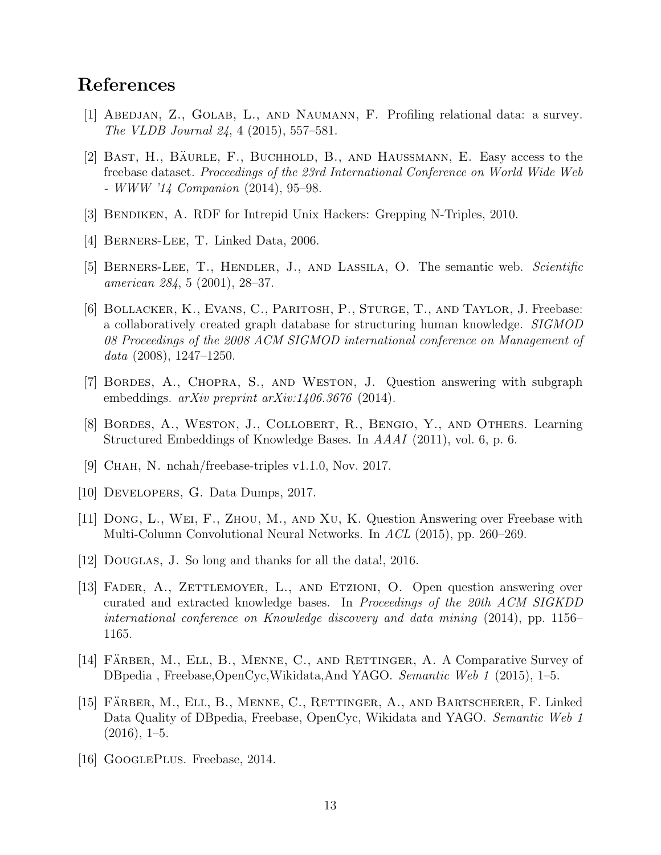### References

- [1] ABEDJAN, Z., GOLAB, L., AND NAUMANN, F. Profiling relational data: a survey. The VLDB Journal 24, 4 (2015), 557–581.
- [2] BAST, H., BÄURLE, F., BUCHHOLD, B., AND HAUSSMANN, E. Easy access to the freebase dataset. Proceedings of the 23rd International Conference on World Wide Web - WWW '14 Companion (2014), 95–98.
- [3] Bendiken, A. RDF for Intrepid Unix Hackers: Grepping N-Triples, 2010.
- [4] BERNERS-LEE, T. Linked Data, 2006.
- [5] BERNERS-LEE, T., HENDLER, J., AND LASSILA, O. The semantic web. Scientific american 284, 5 (2001), 28–37.
- [6] Bollacker, K., Evans, C., Paritosh, P., Sturge, T., and Taylor, J. Freebase: a collaboratively created graph database for structuring human knowledge. SIGMOD 08 Proceedings of the 2008 ACM SIGMOD international conference on Management of data  $(2008)$ , 1247–1250.
- [7] Bordes, A., Chopra, S., and Weston, J. Question answering with subgraph embeddings.  $arXiv$  preprint  $arXiv:1406.3676$  (2014).
- [8] Bordes, A., Weston, J., Collobert, R., Bengio, Y., and Others. Learning Structured Embeddings of Knowledge Bases. In AAAI (2011), vol. 6, p. 6.
- [9] Chah, N. nchah/freebase-triples v1.1.0, Nov. 2017.
- [10] DEVELOPERS, G. Data Dumps, 2017.
- [11] Dong, L., Wei, F., Zhou, M., and Xu, K. Question Answering over Freebase with Multi-Column Convolutional Neural Networks. In ACL (2015), pp. 260–269.
- [12] Douglas, J. So long and thanks for all the data!, 2016.
- [13] FADER, A., ZETTLEMOYER, L., AND ETZIONI, O. Open question answering over curated and extracted knowledge bases. In Proceedings of the 20th ACM SIGKDD international conference on Knowledge discovery and data mining (2014), pp. 1156– 1165.
- [14] FÄRBER, M., ELL, B., MENNE, C., AND RETTINGER, A. A Comparative Survey of DBpedia , Freebase,OpenCyc,Wikidata,And YAGO. Semantic Web 1 (2015), 1–5.
- [15] FÄRBER, M., ELL, B., MENNE, C., RETTINGER, A., AND BARTSCHERER, F. Linked Data Quality of DBpedia, Freebase, OpenCyc, Wikidata and YAGO. Semantic Web 1  $(2016), 1–5.$
- [16] GOOGLEPLUS. Freebase, 2014.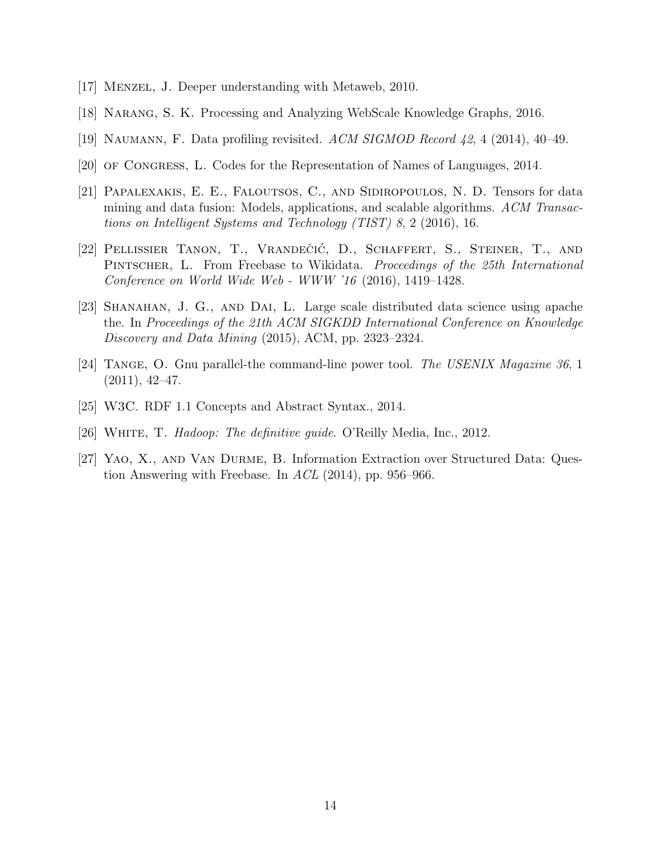- [17] Menzel, J. Deeper understanding with Metaweb, 2010.
- [18] Narang, S. K. Processing and Analyzing WebScale Knowledge Graphs, 2016.
- [19] Naumann, F. Data profiling revisited. ACM SIGMOD Record 42, 4 (2014), 40–49.
- [20] of Congress, L. Codes for the Representation of Names of Languages, 2014.
- [21] Papalexakis, E. E., Faloutsos, C., and Sidiropoulos, N. D. Tensors for data mining and data fusion: Models, applications, and scalable algorithms. ACM Transactions on Intelligent Systems and Technology (TIST) 8, 2 (2016), 16.
- [22] PELLISSIER TANON, T., VRANDEČIĆ, D., SCHAFFERT, S., STEINER, T., AND Pintscher, L. From Freebase to Wikidata. Proceedings of the 25th International Conference on World Wide Web - WWW '16 (2016), 1419–1428.
- [23] Shanahan, J. G., and Dai, L. Large scale distributed data science using apache the. In Proceedings of the 21th ACM SIGKDD International Conference on Knowledge Discovery and Data Mining (2015), ACM, pp. 2323–2324.
- [24] Tange, O. Gnu parallel-the command-line power tool. The USENIX Magazine 36, 1  $(2011), 42-47.$
- [25] W3C. RDF 1.1 Concepts and Abstract Syntax., 2014.
- [26] White, T. Hadoop: The definitive guide. O'Reilly Media, Inc., 2012.
- [27] Yao, X., and Van Durme, B. Information Extraction over Structured Data: Question Answering with Freebase. In  $ACL$  (2014), pp. 956–966.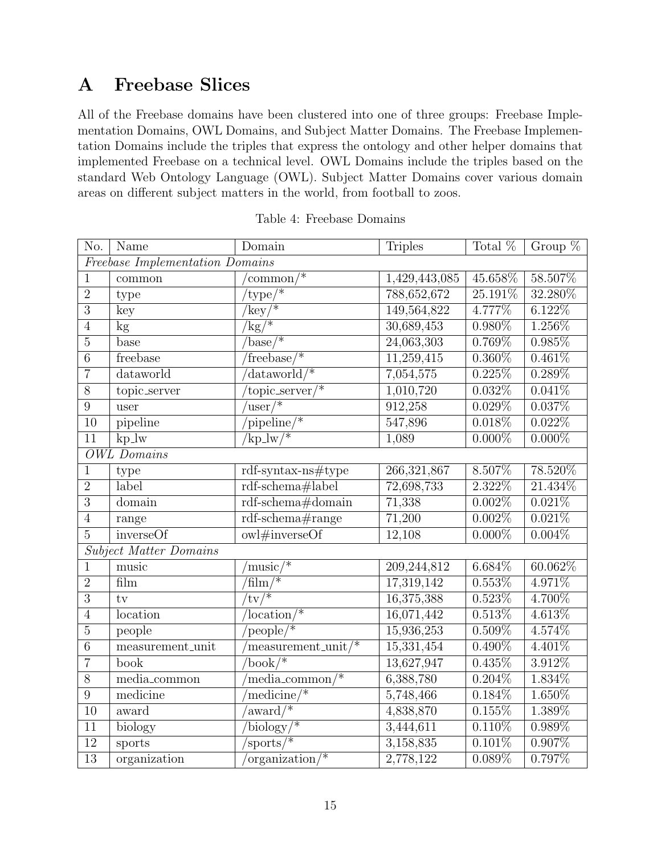# A Freebase Slices

All of the Freebase domains have been clustered into one of three groups: Freebase Implementation Domains, OWL Domains, and Subject Matter Domains. The Freebase Implementation Domains include the triples that express the ontology and other helper domains that implemented Freebase on a technical level. OWL Domains include the triples based on the standard Web Ontology Language (OWL). Subject Matter Domains cover various domain areas on different subject matters in the world, from football to zoos.

| No.                                    | Name                   | Domain                                | <b>Triples</b> | Total $%$ | Group $%$ |  |  |
|----------------------------------------|------------------------|---------------------------------------|----------------|-----------|-----------|--|--|
| <b>Freebase Implementation Domains</b> |                        |                                       |                |           |           |  |  |
| $\mathbf 1$                            | common                 | $' \text{common} / *$                 | 1,429,443,085  | 45.658%   | 58.507%   |  |  |
| $\sqrt{2}$                             | type                   | $'$ type $/$ *                        | 788,652,672    | 25.191%   | 32.280%   |  |  |
| $\overline{3}$                         | key                    | $\sqrt[k]{\text{key}/k}$              | 149,564,822    | 4.777%    | $6.122\%$ |  |  |
| $\sqrt{4}$                             | kg                     | $\sqrt{kg/k}$                         | 30,689,453     | $0.980\%$ | 1.256\%   |  |  |
| $\overline{5}$                         | base                   | $base/*$                              | 24,063,303     | 0.769%    | $0.985\%$ |  |  |
| $\overline{6}$                         | freebase               | $r$ freebase $/$ *                    | 11,259,415     | $0.360\%$ | $0.461\%$ |  |  |
| $\overline{7}$                         | dataworld              | $\sqrt{\text{dataworld}/*}$           | 7,054,575      | 0.225%    | $0.289\%$ |  |  |
| $\overline{8}$                         | topic_server           | $v$ <sub>topic_server</sub> /*        | 1,010,720      | $0.032\%$ | 0.041%    |  |  |
| $\overline{9}$                         | user                   | $\sqrt{\text{user}/\text{#}}$         | 912,258        | $0.029\%$ | 0.037%    |  |  |
| 10                                     | pipeline               | $'$ pipeline/*                        | 547,896        | 0.018%    | $0.022\%$ |  |  |
| $\overline{11}$                        | $kp_l$                 | $\sqrt[k]{kp}$ $\frac{1}{w}$          | 1,089          | $0.000\%$ | $0.000\%$ |  |  |
|                                        | $OWL$ Domains          |                                       |                |           |           |  |  |
| $\mathbf 1$                            | type                   | $\text{rdf-syntax-ns#type}$           | 266, 321, 867  | 8.507%    | 78.520%   |  |  |
| $\overline{2}$                         | label                  | rdf-schema#label                      | 72,698,733     | 2.322%    | 21.434%   |  |  |
| $\overline{3}$                         | domain                 | rdf-schema#domain                     | 71,338         | 0.002%    | 0.021%    |  |  |
| $\overline{4}$                         | range                  | $\overline{\text{rdf-schema#range}}$  | 71,200         | 0.002%    | $0.021\%$ |  |  |
| $\overline{5}$                         | inverseOf              | owl#inverseOf                         | 12,108         | $0.000\%$ | $0.004\%$ |  |  |
|                                        | Subject Matter Domains |                                       |                |           |           |  |  |
| $\mathbf{1}$                           | music                  | $\sqrt{\text{music}/\text{*}}$        | 209,244,812    | $6.684\%$ | 60.062%   |  |  |
| $\overline{2}$                         | film                   | $\overline{\text{film}/\text{*}}$     | 17,319,142     | 0.553%    | 4.971%    |  |  |
| $\overline{3}$                         | $t_{V}$                | $\overline{\text{tv}/\text{F}}$       | 16,375,388     | 0.523%    | 4.700%    |  |  |
| $\overline{4}$                         | location               | $\sqrt{\text{location}/\text{min}}$   | 16,071,442     | 0.513%    | $4.613\%$ |  |  |
| $\overline{5}$                         | people                 | $\sqrt{\text{people}/*}$              | 15,936,253     | $0.509\%$ | 4.574%    |  |  |
| $\overline{6}$                         | measurement_unit       | $\mu$ measurement_unit/*              | 15,331,454     | $0.490\%$ | 4.401%    |  |  |
| $\overline{7}$                         | book                   | $\sqrt{\text{book}}$ /*               | 13,627,947     | 0.435%    | 3.912%    |  |  |
| $\overline{8}$                         | media_common           | $\mu$ media_common/*                  | 6,388,780      | $0.204\%$ | 1.834\%   |  |  |
| $\overline{9}$                         | medicine               | 'medicine/ $*$                        | 5,748,466      | $0.184\%$ | $1.650\%$ |  |  |
| $\overline{10}$                        | award                  | $\sqrt{\text{award}/\text{w}}$        | 4,838,870      | 0.155%    | 1.389%    |  |  |
| 11                                     | biology                | $\overline{\text{biology}/\text{``}}$ | 3,444,611      | $0.110\%$ | 0.989%    |  |  |
| $\overline{12}$                        | sports                 | $\sqrt{s_{\text{ports}}/s}$           | 3,158,835      | 0.101%    | $0.907\%$ |  |  |
| 13                                     | organization           | $\alpha$ organization/*               | 2,778,122      | 0.089%    | 0.797%    |  |  |

|  | Table 4: Freebase Domains |
|--|---------------------------|
|  |                           |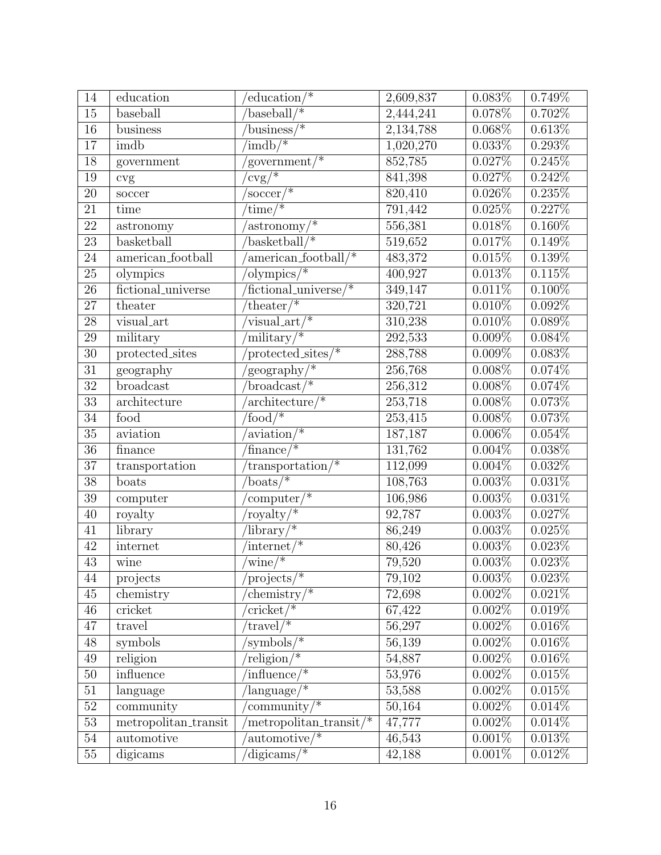| 14              | education            | $^{\prime}$ education/*                    | 2,609,837 | $0.083\%$ | 0.749%    |
|-----------------|----------------------|--------------------------------------------|-----------|-----------|-----------|
| $\overline{15}$ | baseball             | $\overline{\text{baseball}/\text{}}$       | 2,444,241 | $0.078\%$ | $0.702\%$ |
| 16              | business             | $\overline{\text{business}/*}$             | 2,134,788 | $0.068\%$ | 0.613%    |
| 17              | imdb                 | $\overline{\text{imdb}/\text{*}}$          | 1,020,270 | $0.033\%$ | $0.293\%$ |
| 18              | government           | government/ $*$                            | 852,785   | 0.027%    | 0.245%    |
| $19\,$          | cvg                  | $\sqrt{\text{cvg}/\text{c}}$               | 841,398   | $0.027\%$ | $0.242\%$ |
| $20\,$          | soccer               | $\sqrt{\text{soccer}/\text{*}}$            | 820,410   | $0.026\%$ | 0.235%    |
| 21              | $\overline{time}$    | $\times$ time/*                            | 791,442   | 0.025%    | 0.227%    |
| 22              | astronomy            | $\alpha$ astronomy/*                       | 556,381   | $0.018\%$ | $0.160\%$ |
| 23              | basketball           | $\sqrt{\text{basketball}/*}$               | 519,652   | $0.017\%$ | $0.149\%$ |
| 24              | american_football    | $american_football/*$                      | 483,372   | 0.015%    | 0.139%    |
| 25              | olympics             | 'olympics/ $*$                             | 400,927   | 0.013%    | 0.115%    |
| $\overline{26}$ | fictional_universe   | $\overline{\text{fictional\_universe}}$ /* | 349, 147  | 0.011%    | $0.100\%$ |
| $27\,$          | theater              | $'$ theater $/$ *                          | 320,721   | $0.010\%$ | $0.092\%$ |
| $28\,$          | visual_art           | visual_art/ $*$                            | 310,238   | $0.010\%$ | $0.089\%$ |
| 29              | military             | $\overline{\text{mility}}$                 | 292,533   | 0.009%    | $0.084\%$ |
| $\overline{30}$ | protected_sites      | $protected\_sites/*$                       | 288,788   | $0.009\%$ | $0.083\%$ |
| 31              | geography            | geography/*                                | 256,768   | $0.008\%$ | $0.074\%$ |
| $\overline{32}$ | broadcast            | $broadcast/*$                              | 256,312   | $0.008\%$ | $0.074\%$ |
| 33              | architecture         | $architecture*$                            | 253,718   | $0.008\%$ | 0.073%    |
| $\overline{34}$ | food                 | $\sqrt{\frac{1}{2}$                        | 253,415   | $0.008\%$ | $0.073\%$ |
| $35\,$          | aviation             | $\arcsin x$ <sup>*</sup>                   | 187,187   | $0.006\%$ | $0.054\%$ |
| $36\,$          | finance              | $\overline{\text{finance}/\text{}}$        | 131,762   | $0.004\%$ | 0.038%    |
| 37              | transportation       | $transportion/*$                           | 112,099   | $0.004\%$ | $0.032\%$ |
| 38              | boats                | boats/ $*$                                 | 108,763   | $0.003\%$ | 0.031%    |
| $\overline{39}$ | computer             | $\overline{\text{computer}/\text{*}}$      | 106,986   | 0.003%    | 0.031%    |
| $40\,$          | royalty              | royalty/*                                  | 92,787    | $0.003\%$ | $0.027\%$ |
| 41              | library              | $\sqrt{\text{library} / \cdot \cdot}$      | 86,249    | $0.003\%$ | 0.025%    |
| 42              | internet             | $\sqrt{\text{internet}/\text{inter}}$      | 80,426    | $0.003\%$ | $0.023\%$ |
| 43              | wine                 | $\text{wine}/*$                            | 79,520    | 0.003%    | 0.023%    |
| 44              | projects             | projects/*                                 | 79,102    | $0.003\%$ | $0.023\%$ |
| $45\,$          | chemistry            | chemistry/ $*$                             | 72,698    | $0.002\%$ | $0.021\%$ |
| 46              | cricket              | $\overline{\text{cricket}/\text{*}}$       | 67,422    | 0.002%    | 0.019%    |
| 47              | travel               | $\text{travel}$ /*                         | 56,297    | 0.002%    | $0.016\%$ |
| $48\,$          | symbols              | 'symbols/*                                 | 56,139    | $0.002\%$ | 0.016%    |
| $\overline{49}$ | religion             | $religion/*$                               | 54,887    | $0.002\%$ | $0.016\%$ |
| $50\,$          | influence            | $\mathrm{influence}/\mathrm{*}$            | 53,976    | 0.002%    | 0.015%    |
| $\overline{51}$ | language             | $\overline{\text{language}/\text{``}}$     | 53,588    | $0.002\%$ | 0.015%    |
| $52\,$          | community            | community/ $*$                             | 50,164    | 0.002%    | $0.014\%$ |
| $\overline{53}$ | metropolitan_transit | $\text{interopolitan\_transit} / \text{*}$ | 47,777    | $0.002\%$ | $0.014\%$ |
| $54\,$          | automotive           | $\alpha$ utomotive $\frac{1}{2}$           | 46,543    | 0.001%    | 0.013%    |
| $55\,$          | digicams             | $\text{digicams}$                          | 42,188    | $0.001\%$ | $0.012\%$ |